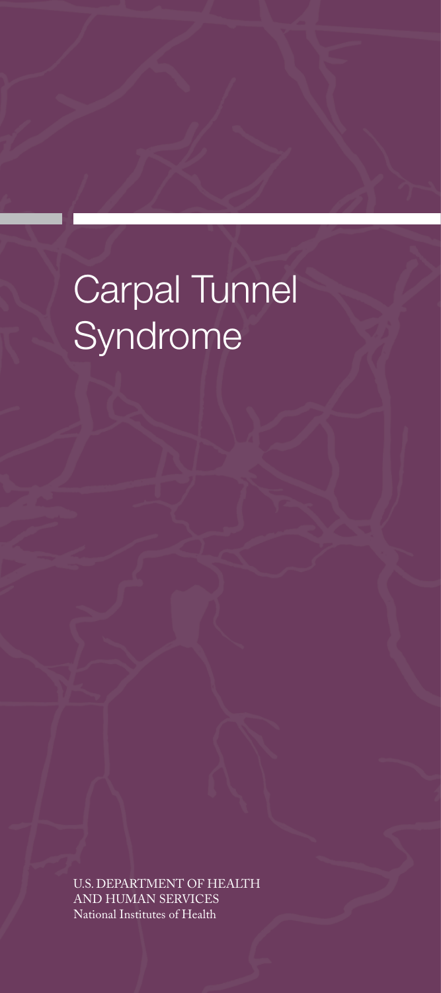# Carpal Tunnel Syndrome

U.S. DEPARTMENT OF HEALTH AND HUMAN SERVICES National Institutes of Health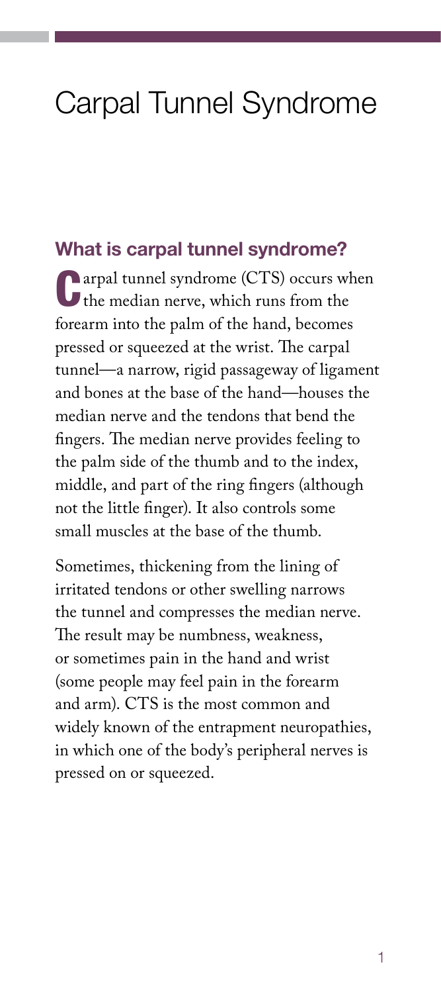# Carpal Tunnel Syndrome

#### What is carpal tunnel syndrome?

Carpal tunnel syndrome (CTS) occurs when the median nerve, which runs from the forearm into the palm of the hand, becomes pressed or squeezed at the wrist. The carpal tunnel—a narrow, rigid passageway of ligament and bones at the base of the hand—houses the median nerve and the tendons that bend the fingers. The median nerve provides feeling to the palm side of the thumb and to the index, middle, and part of the ring fingers (although not the little finger). It also controls some small muscles at the base of the thumb.

Sometimes, thickening from the lining of irritated tendons or other swelling narrows the tunnel and compresses the median nerve. The result may be numbness, weakness, or sometimes pain in the hand and wrist (some people may feel pain in the forearm and arm). CTS is the most common and widely known of the entrapment neuropathies, in which one of the body's peripheral nerves is pressed on or squeezed.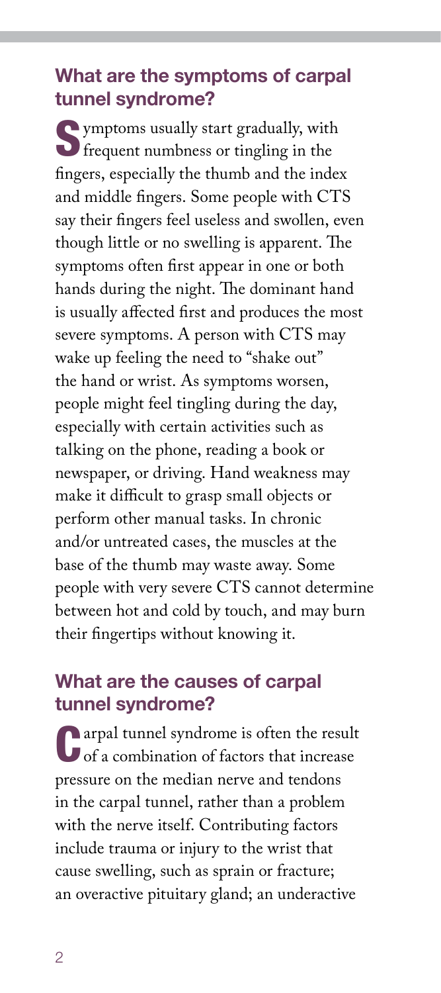# What are the symptoms of carpal tunnel syndrome?

Symptoms usually start gradually, with frequent numbness or tingling in the fingers, especially the thumb and the index and middle fingers. Some people with CTS say their fingers feel useless and swollen, even though little or no swelling is apparent. The symptoms often first appear in one or both hands during the night. The dominant hand is usually affected first and produces the most severe symptoms. A person with CTS may wake up feeling the need to "shake out" the hand or wrist. As symptoms worsen, people might feel tingling during the day, especially with certain activities such as talking on the phone, reading a book or newspaper, or driving. Hand weakness may make it difficult to grasp small objects or perform other manual tasks. In chronic and/or untreated cases, the muscles at the base of the thumb may waste away. Some people with very severe CTS cannot determine between hot and cold by touch, and may burn their fingertips without knowing it.

## What are the causes of carpal tunnel syndrome?

**Carpal tunnel syndrome is often the result** of a combination of factors that increase pressure on the median nerve and tendons in the carpal tunnel, rather than a problem with the nerve itself. Contributing factors include trauma or injury to the wrist that cause swelling, such as sprain or fracture; an overactive pituitary gland; an underactive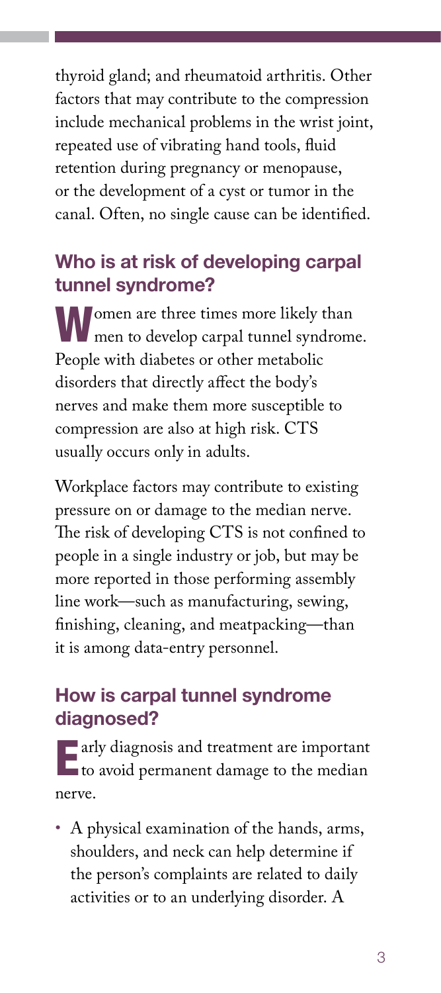thyroid gland; and rheumatoid arthritis. Other factors that may contribute to the compression include mechanical problems in the wrist joint, repeated use of vibrating hand tools, fluid retention during pregnancy or menopause, or the development of a cyst or tumor in the canal. Often, no single cause can be identified.

# Who is at risk of developing carpal tunnel syndrome?

Women are three times more likely than men to develop carpal tunnel syndrome. People with diabetes or other metabolic disorders that directly affect the body's nerves and make them more susceptible to compression are also at high risk. CTS usually occurs only in adults.

Workplace factors may contribute to existing pressure on or damage to the median nerve. The risk of developing CTS is not confined to people in a single industry or job, but may be more reported in those performing assembly line work—such as manufacturing, sewing, finishing, cleaning, and meatpacking—than it is among data-entry personnel.

# How is carpal tunnel syndrome diagnosed?

**Early diagnosis and treatment are important L** to avoid permanent damage to the median nerve.

• A physical examination of the hands, arms, shoulders, and neck can help determine if the person's complaints are related to daily activities or to an underlying disorder. A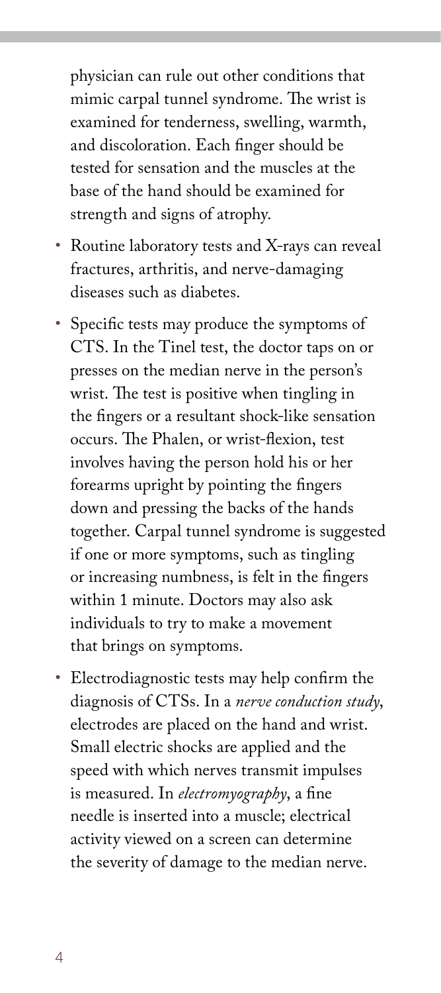physician can rule out other conditions that mimic carpal tunnel syndrome. The wrist is examined for tenderness, swelling, warmth, and discoloration. Each finger should be tested for sensation and the muscles at the base of the hand should be examined for strength and signs of atrophy.

- Routine laboratory tests and X-rays can reveal fractures, arthritis, and nerve-damaging diseases such as diabetes.
- Specific tests may produce the symptoms of CTS. In the Tinel test, the doctor taps on or presses on the median nerve in the person's wrist. The test is positive when tingling in the fingers or a resultant shock-like sensation occurs. The Phalen, or wrist-flexion, test involves having the person hold his or her forearms upright by pointing the fingers down and pressing the backs of the hands together. Carpal tunnel syndrome is suggested if one or more symptoms, such as tingling or increasing numbness, is felt in the fingers within 1 minute. Doctors may also ask individuals to try to make a movement that brings on symptoms.
- Electrodiagnostic tests may help confirm the diagnosis of CTSs. In a *nerve conduction study*, electrodes are placed on the hand and wrist. Small electric shocks are applied and the speed with which nerves transmit impulses is measured. In *electromyography*, a fine needle is inserted into a muscle; electrical activity viewed on a screen can determine the severity of damage to the median nerve.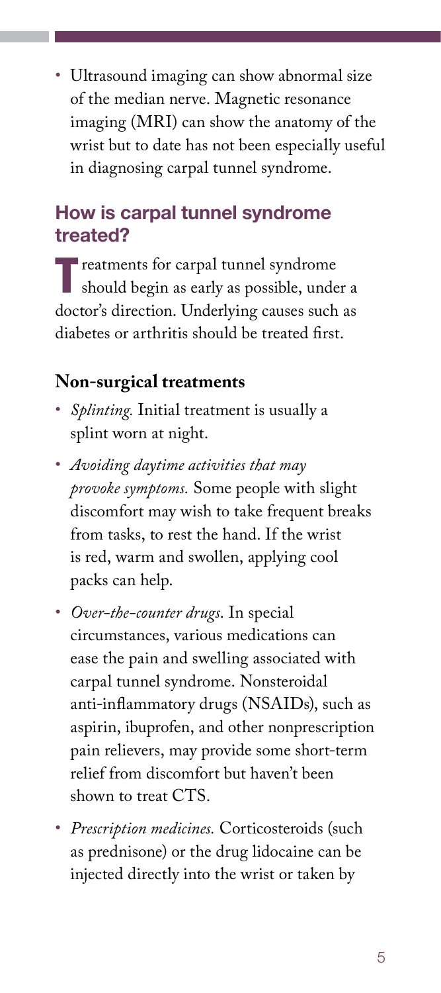• Ultrasound imaging can show abnormal size of the median nerve. Magnetic resonance imaging (MRI) can show the anatomy of the wrist but to date has not been especially useful in diagnosing carpal tunnel syndrome.

# How is carpal tunnel syndrome treated?

**Treatments for carpal tunnel syndrome** should begin as early as possible, under a doctor's direction. Underlying causes such as diabetes or arthritis should be treated first.

#### **Non-surgical treatments**

- *Splinting.* Initial treatment is usually a splint worn at night.
- *Avoiding daytime activities that may provoke symptoms.* Some people with slight discomfort may wish to take frequent breaks from tasks, to rest the hand. If the wrist is red, warm and swollen, applying cool packs can help.
- *Over-the-counter drugs*. In special circumstances, various medications can ease the pain and swelling associated with carpal tunnel syndrome. Nonsteroidal anti-inflammatory drugs (NSAIDs), such as aspirin, ibuprofen, and other nonprescription pain relievers, may provide some short-term relief from discomfort but haven't been shown to treat CTS.
- *Prescription medicines.* Corticosteroids (such as prednisone) or the drug lidocaine can be injected directly into the wrist or taken by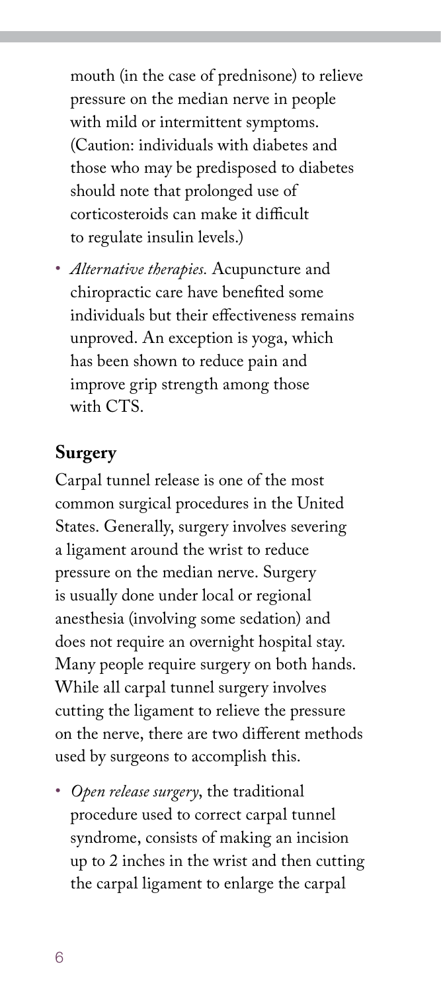mouth (in the case of prednisone) to relieve pressure on the median nerve in people with mild or intermittent symptoms. (Caution: individuals with diabetes and those who may be predisposed to diabetes should note that prolonged use of corticosteroids can make it difficult to regulate insulin levels.)

• *Alternative therapies.* Acupuncture and chiropractic care have benefited some individuals but their effectiveness remains unproved. An exception is yoga, which has been shown to reduce pain and improve grip strength among those with CTS.

#### **Surgery**

Carpal tunnel release is one of the most common surgical procedures in the United States. Generally, surgery involves severing a ligament around the wrist to reduce pressure on the median nerve. Surgery is usually done under local or regional anesthesia (involving some sedation) and does not require an overnight hospital stay. Many people require surgery on both hands. While all carpal tunnel surgery involves cutting the ligament to relieve the pressure on the nerve, there are two different methods used by surgeons to accomplish this.

• *Open release surgery*, the traditional procedure used to correct carpal tunnel syndrome, consists of making an incision up to 2 inches in the wrist and then cutting the carpal ligament to enlarge the carpal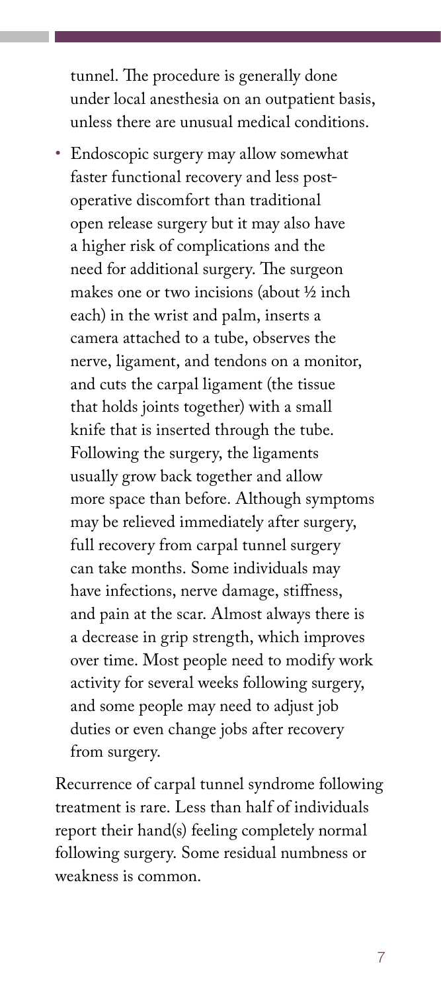tunnel. The procedure is generally done under local anesthesia on an outpatient basis, unless there are unusual medical conditions.

• Endoscopic surgery may allow somewhat faster functional recovery and less postoperative discomfort than traditional open release surgery but it may also have a higher risk of complications and the need for additional surgery. The surgeon makes one or two incisions (about ½ inch each) in the wrist and palm, inserts a camera attached to a tube, observes the nerve, ligament, and tendons on a monitor, and cuts the carpal ligament (the tissue that holds joints together) with a small knife that is inserted through the tube. Following the surgery, the ligaments usually grow back together and allow more space than before. Although symptoms may be relieved immediately after surgery, full recovery from carpal tunnel surgery can take months. Some individuals may have infections, nerve damage, stiffness, and pain at the scar. Almost always there is a decrease in grip strength, which improves over time. Most people need to modify work activity for several weeks following surgery, and some people may need to adjust job duties or even change jobs after recovery from surgery.

Recurrence of carpal tunnel syndrome following treatment is rare. Less than half of individuals report their hand(s) feeling completely normal following surgery. Some residual numbness or weakness is common.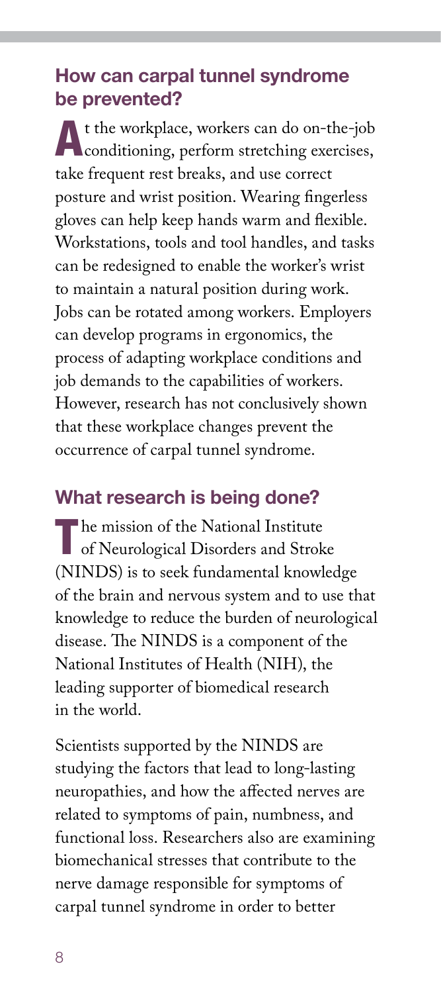# How can carpal tunnel syndrome be prevented?

At the workplace, workers can do on-the-job **Conditioning, perform stretching exercises,** take frequent rest breaks, and use correct posture and wrist position. Wearing fingerless gloves can help keep hands warm and flexible. Workstations, tools and tool handles, and tasks can be redesigned to enable the worker's wrist to maintain a natural position during work. Jobs can be rotated among workers. Employers can develop programs in ergonomics, the process of adapting workplace conditions and job demands to the capabilities of workers. However, research has not conclusively shown that these workplace changes prevent the occurrence of carpal tunnel syndrome.

# What research is being done?

The mission of the National Institute<br>
of Neurological Disorders and Stroke (NINDS) is to seek fundamental knowledge of the brain and nervous system and to use that knowledge to reduce the burden of neurological disease. The NINDS is a component of the National Institutes of Health (NIH), the leading supporter of biomedical research in the world.

Scientists supported by the NINDS are studying the factors that lead to long-lasting neuropathies, and how the affected nerves are related to symptoms of pain, numbness, and functional loss. Researchers also are examining biomechanical stresses that contribute to the nerve damage responsible for symptoms of carpal tunnel syndrome in order to better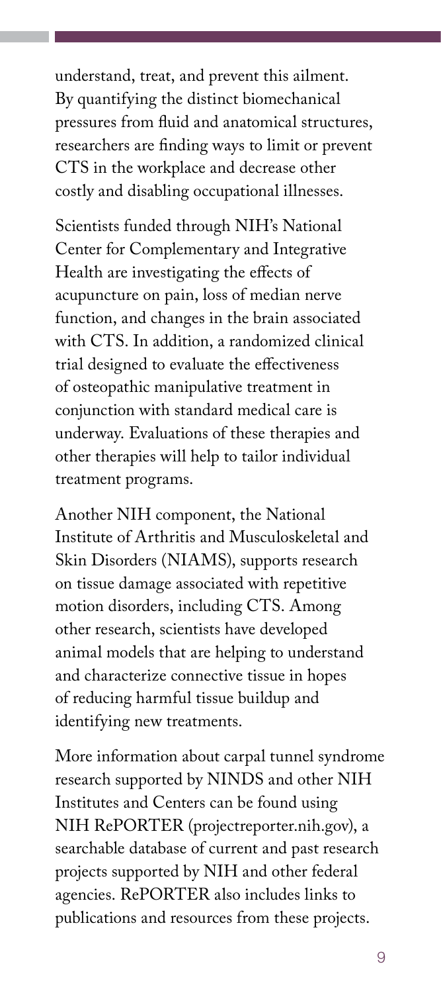understand, treat, and prevent this ailment. By quantifying the distinct biomechanical pressures from fluid and anatomical structures, researchers are finding ways to limit or prevent CTS in the workplace and decrease other costly and disabling occupational illnesses.

Scientists funded through NIH's National Center for Complementary and Integrative Health are investigating the effects of acupuncture on pain, loss of median nerve function, and changes in the brain associated with CTS. In addition, a randomized clinical trial designed to evaluate the effectiveness of osteopathic manipulative treatment in conjunction with standard medical care is underway. Evaluations of these therapies and other therapies will help to tailor individual treatment programs.

Another NIH component, the National Institute of Arthritis and Musculoskeletal and Skin Disorders (NIAMS), supports research on tissue damage associated with repetitive motion disorders, including CTS. Among other research, scientists have developed animal models that are helping to understand and characterize connective tissue in hopes of reducing harmful tissue buildup and identifying new treatments.

More information about carpal tunnel syndrome research supported by NINDS and other NIH Institutes and Centers can be found using NIH RePORTER [\(projectreporter.nih.gov](http://projectreporter.nih.gov)), a searchable database of current and past research projects supported by NIH and other federal agencies. RePORTER also includes links to publications and resources from these projects.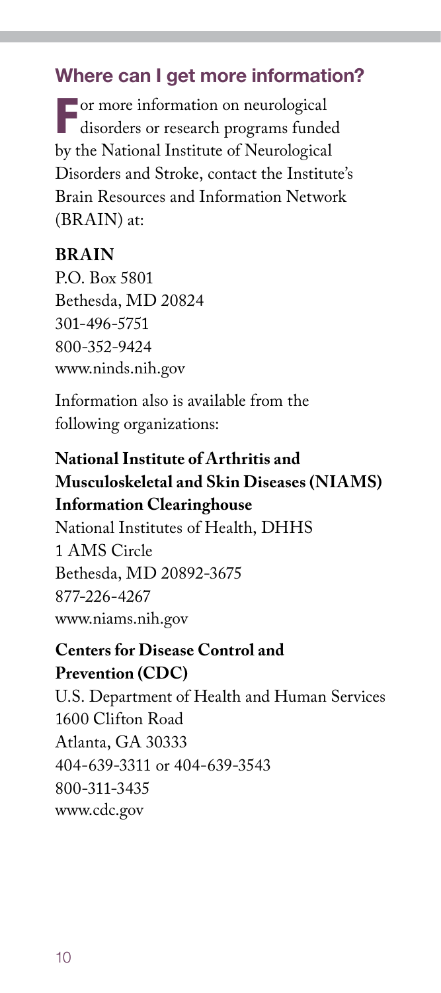# Where can I get more information?

For more information on neurological disorders or research programs funded by the National Institute of Neurological Disorders and Stroke, contact the Institute's Brain Resources and Information Network (BRAIN) at:

#### **BRAIN**

P.O. Box 5801 Bethesda, MD 20824 301-496-5751 800-352-9424 [www.ninds.nih.gov](http://www.ninds.nih.gov)

Information also is available from the following organizations:

# **National Institute of Arthritis and Musculoskeletal and Skin Diseases (NIAMS) Information Clearinghouse**

National Institutes of Health, DHHS 1 AMS Circle Bethesda, MD 20892-3675 877-226-4267 [www.niams.nih.gov](http://www.niams.nih.gov)

#### **Centers for Disease Control and Prevention (CDC)**

U.S. Department of Health and Human Services 1600 Clifton Road Atlanta, GA 30333 404-639-3311 or 404-639-3543 800-311-3435 [www.cdc.gov](http://www.cdc.gov)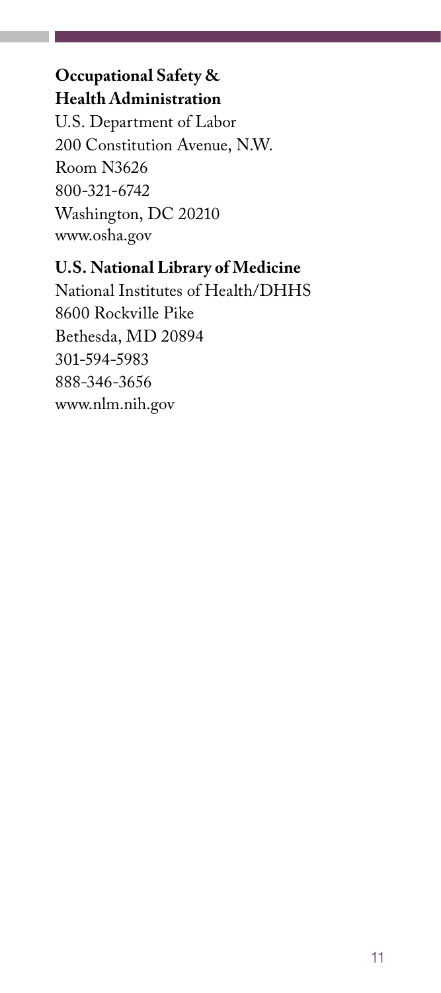# **Occupational Safety & Health Administration**

U.S. Department of Labor 200 Constitution Avenue, N.W. Room N3626 800-321-6742 Washington, DC 20210 [www.osha.gov](http://www.osha.gov)

## **U.S. National Library of Medicine**

National Institutes of Health/DHHS 8600 Rockville Pike Bethesda, MD 20894 301-594-5983 888-346-3656 [www.nlm.nih.gov](http://www.nlm.nih.gov)